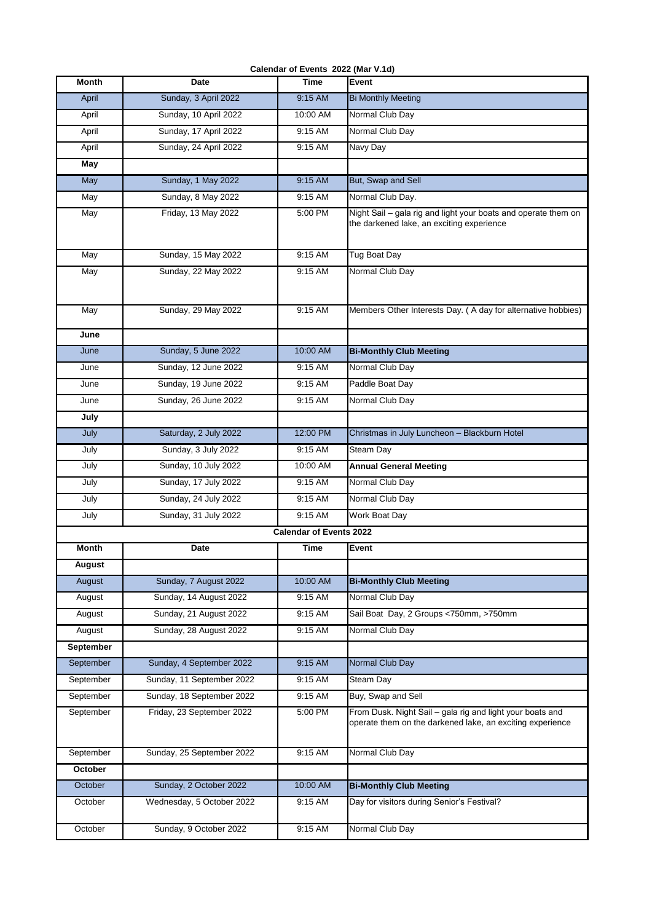| Calendar of Events 2022 (Mar V.1d) |  |  |
|------------------------------------|--|--|
|                                    |  |  |

| Month         | <b>Date</b>               | <b>Time</b>                    | Event                                                                                                                  |
|---------------|---------------------------|--------------------------------|------------------------------------------------------------------------------------------------------------------------|
| April         | Sunday, 3 April 2022      | $9:15$ AM                      | <b>Bi Monthly Meeting</b>                                                                                              |
| April         | Sunday, 10 April 2022     | 10:00 AM                       | Normal Club Day                                                                                                        |
| April         | Sunday, 17 April 2022     | 9:15 AM                        | Normal Club Day                                                                                                        |
| April         | Sunday, 24 April 2022     | 9:15 AM                        | Navy Day                                                                                                               |
| May           |                           |                                |                                                                                                                        |
| May           | Sunday, 1 May 2022        | 9:15 AM                        | But, Swap and Sell                                                                                                     |
| May           | Sunday, 8 May 2022        | 9:15 AM                        | Normal Club Day.                                                                                                       |
| May           | Friday, 13 May 2022       | 5:00 PM                        | Night Sail - gala rig and light your boats and operate them on<br>the darkened lake, an exciting experience            |
| May           | Sunday, 15 May 2022       | 9:15 AM                        | <b>Tug Boat Day</b>                                                                                                    |
| May           | Sunday, 22 May 2022       | 9:15 AM                        | Normal Club Day                                                                                                        |
| May           | Sunday, 29 May 2022       | 9:15 AM                        | Members Other Interests Day. (A day for alternative hobbies)                                                           |
| June          |                           |                                |                                                                                                                        |
| June          | Sunday, 5 June 2022       | 10:00 AM                       | <b>Bi-Monthly Club Meeting</b>                                                                                         |
| June          | Sunday, 12 June 2022      | 9:15 AM                        | Normal Club Day                                                                                                        |
| June          | Sunday, 19 June 2022      | 9:15 AM                        | Paddle Boat Day                                                                                                        |
| June          | Sunday, 26 June 2022      | 9:15 AM                        | Normal Club Day                                                                                                        |
| July          |                           |                                |                                                                                                                        |
| July          | Saturday, 2 July 2022     | 12:00 PM                       | Christmas in July Luncheon - Blackburn Hotel                                                                           |
| July          | Sunday, 3 July 2022       | 9:15 AM                        | Steam Day                                                                                                              |
| July          | Sunday, 10 July 2022      | 10:00 AM                       | <b>Annual General Meeting</b>                                                                                          |
| July          | Sunday, 17 July 2022      | 9:15 AM                        | Normal Club Day                                                                                                        |
| July          | Sunday, 24 July 2022      | 9:15 AM                        | Normal Club Day                                                                                                        |
| July          | Sunday, 31 July 2022      | 9:15 AM                        | <b>Work Boat Day</b>                                                                                                   |
|               |                           | <b>Calendar of Events 2022</b> |                                                                                                                        |
| <b>Month</b>  | Date                      | Time                           | Event                                                                                                                  |
| <b>August</b> |                           |                                |                                                                                                                        |
| August        | Sunday, 7 August 2022     | 10:00 AM                       | <b>Bi-Monthly Club Meeting</b>                                                                                         |
| August        | Sunday, 14 August 2022    | 9:15 AM                        | Normal Club Day                                                                                                        |
| August        | Sunday, 21 August 2022    | 9:15 AM                        | Sail Boat Day, 2 Groups <750mm, >750mm                                                                                 |
| August        | Sunday, 28 August 2022    | 9:15 AM                        | Normal Club Day                                                                                                        |
| September     |                           |                                |                                                                                                                        |
| September     | Sunday, 4 September 2022  | 9:15 AM                        | Normal Club Day                                                                                                        |
| September     | Sunday, 11 September 2022 | 9:15 AM                        | Steam Day                                                                                                              |
| September     | Sunday, 18 September 2022 | 9:15 AM                        | Buy, Swap and Sell                                                                                                     |
| September     | Friday, 23 September 2022 | 5:00 PM                        | From Dusk. Night Sail - gala rig and light your boats and<br>operate them on the darkened lake, an exciting experience |
| September     | Sunday, 25 September 2022 | 9:15 AM                        | Normal Club Day                                                                                                        |
| October       |                           |                                |                                                                                                                        |
| October       | Sunday, 2 October 2022    | 10:00 AM                       | <b>Bi-Monthly Club Meeting</b>                                                                                         |
| October       | Wednesday, 5 October 2022 | 9:15 AM                        | Day for visitors during Senior's Festival?                                                                             |
| October       | Sunday, 9 October 2022    | 9:15 AM                        | Normal Club Day                                                                                                        |